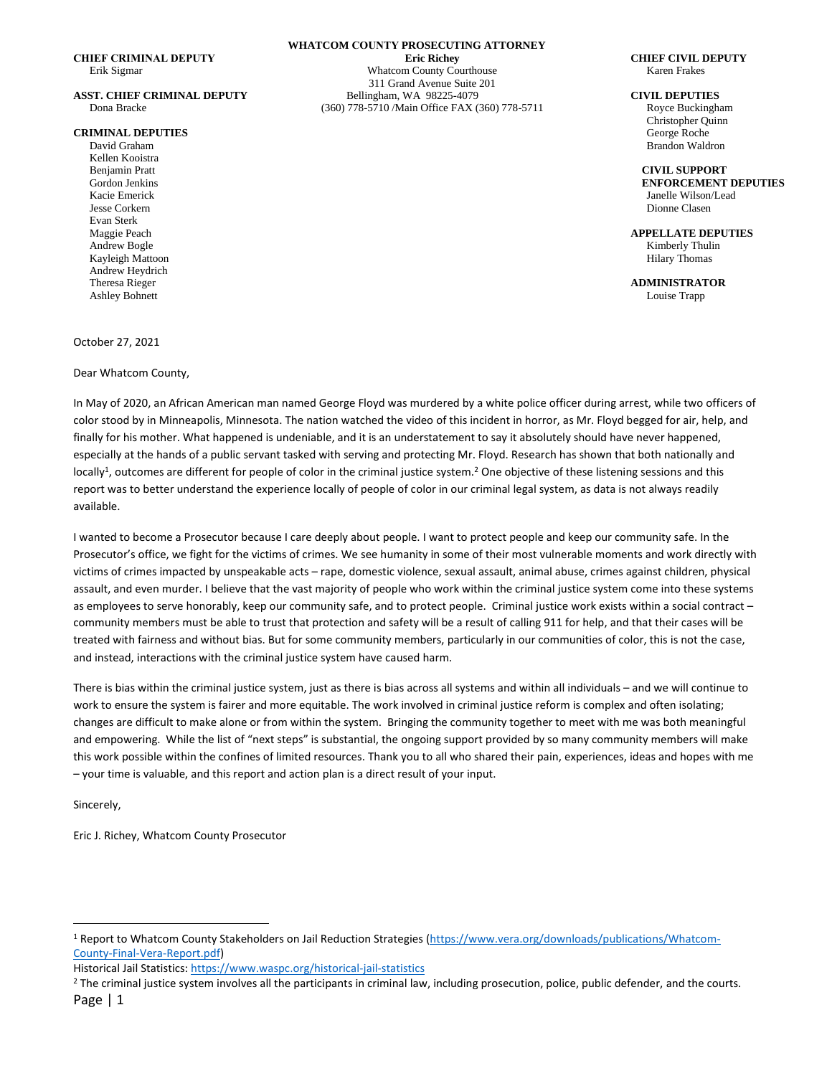#### **CRIMINAL DEPUTIES**

Kellen Kooistra Jesse Corkern Dionne Clasen Evan Sterk Kayleigh Mattoon Hilary Thomas **Example 2018** Hilary Thomas **Hilary Thomas Hilary Thomas** Andrew Heydrich Ashley Bohnett Louise Trapp

October 27, 2021

Dear Whatcom County,

**WHATCOM COUNTY PROSECUTING ATTORNEY CHIEF CRIMINAL DEPUTY Eric Richey CHIEF CIVIL DEPUTY** Erik Sigmar Whatcom County Courthouse Karen Frakes 311 Grand Avenue Suite 201 **ASST. CHIEF CRIMINAL DEPUTY** Bellingham, WA 98225-4079 **CIVIL DEPUTIES** Dona Bracke (360) 778-5710 /Main Office FAX (360) 778-5711 Royce Buckingham

Christopher Quinn David Graham Brandon Waldron

Benjamin Pratt **CIVIL SUPPORT**  Gordon Jenkins **ENFORCEMENT DEPUTIES** Kacie Emerick Janelle Wilson/Lead

Maggie Peach **APPELLATE DEPUTIES** Andrew Bogle Kimberly Thulin

Theresa Rieger **ADMINISTRATOR**

In May of 2020, an African American man named George Floyd was murdered by a white police officer during arrest, while two officers of color stood by in Minneapolis, Minnesota. The nation watched the video of this incident in horror, as Mr. Floyd begged for air, help, and finally for his mother. What happened is undeniable, and it is an understatement to say it absolutely should have never happened, especially at the hands of a public servant tasked with serving and protecting Mr. Floyd. Research has shown that both nationally and locally<sup>1</sup>, outcomes are different for people of color in the criminal justice system.<sup>2</sup> One objective of these listening sessions and this report was to better understand the experience locally of people of color in our criminal legal system, as data is not always readily available.

I wanted to become a Prosecutor because I care deeply about people. I want to protect people and keep our community safe. In the Prosecutor's office, we fight for the victims of crimes. We see humanity in some of their most vulnerable moments and work directly with victims of crimes impacted by unspeakable acts – rape, domestic violence, sexual assault, animal abuse, crimes against children, physical assault, and even murder. I believe that the vast majority of people who work within the criminal justice system come into these systems as employees to serve honorably, keep our community safe, and to protect people. Criminal justice work exists within a social contract community members must be able to trust that protection and safety will be a result of calling 911 for help, and that their cases will be treated with fairness and without bias. But for some community members, particularly in our communities of color, this is not the case, and instead, interactions with the criminal justice system have caused harm.

There is bias within the criminal justice system, just as there is bias across all systems and within all individuals – and we will continue to work to ensure the system is fairer and more equitable. The work involved in criminal justice reform is complex and often isolating; changes are difficult to make alone or from within the system. Bringing the community together to meet with me was both meaningful and empowering. While the list of "next steps" is substantial, the ongoing support provided by so many community members will make this work possible within the confines of limited resources. Thank you to all who shared their pain, experiences, ideas and hopes with me – your time is valuable, and this report and action plan is a direct result of your input.

Sincerely,

Eric J. Richey, Whatcom County Prosecutor

<sup>1</sup> Report to Whatcom County Stakeholders on Jail Reduction Strategies [\(https://www.vera.org/downloads/publications/Whatcom-](https://www.vera.org/downloads/publications/Whatcom-County-Final-Vera-Report.pdf)[County-Final-Vera-Report.pdf\)](https://www.vera.org/downloads/publications/Whatcom-County-Final-Vera-Report.pdf)

Historical Jail Statistics[: https://www.waspc.org/historical-jail-statistics](https://www.waspc.org/historical-jail-statistics)

Page | 1 <sup>2</sup> The criminal justice system involves all the participants in criminal law, including prosecution, police, public defender, and the courts.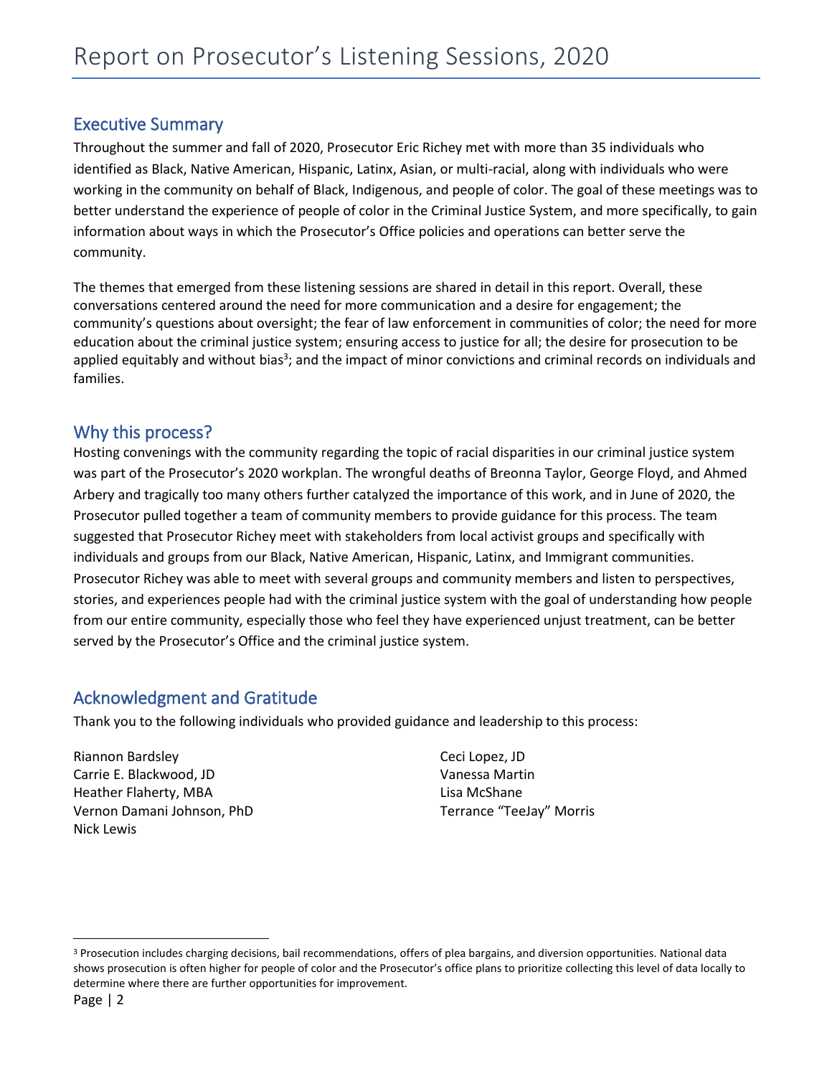# Executive Summary

Throughout the summer and fall of 2020, Prosecutor Eric Richey met with more than 35 individuals who identified as Black, Native American, Hispanic, Latinx, Asian, or multi-racial, along with individuals who were working in the community on behalf of Black, Indigenous, and people of color. The goal of these meetings was to better understand the experience of people of color in the Criminal Justice System, and more specifically, to gain information about ways in which the Prosecutor's Office policies and operations can better serve the community.

The themes that emerged from these listening sessions are shared in detail in this report. Overall, these conversations centered around the need for more communication and a desire for engagement; the community's questions about oversight; the fear of law enforcement in communities of color; the need for more education about the criminal justice system; ensuring access to justice for all; the desire for prosecution to be applied equitably and without bias<sup>3</sup>; and the impact of minor convictions and criminal records on individuals and families.

# Why this process?

Hosting convenings with the community regarding the topic of racial disparities in our criminal justice system was part of the Prosecutor's 2020 workplan. The wrongful deaths of Breonna Taylor, George Floyd, and Ahmed Arbery and tragically too many others further catalyzed the importance of this work, and in June of 2020, the Prosecutor pulled together a team of community members to provide guidance for this process. The team suggested that Prosecutor Richey meet with stakeholders from local activist groups and specifically with individuals and groups from our Black, Native American, Hispanic, Latinx, and Immigrant communities. Prosecutor Richey was able to meet with several groups and community members and listen to perspectives, stories, and experiences people had with the criminal justice system with the goal of understanding how people from our entire community, especially those who feel they have experienced unjust treatment, can be better served by the Prosecutor's Office and the criminal justice system.

# Acknowledgment and Gratitude

Thank you to the following individuals who provided guidance and leadership to this process:

Riannon Bardsley Carrie E. Blackwood, JD Heather Flaherty, MBA Vernon Damani Johnson, PhD Nick Lewis

Ceci Lopez, JD Vanessa Martin Lisa McShane Terrance "TeeJay" Morris

<sup>&</sup>lt;sup>3</sup> Prosecution includes charging decisions, bail recommendations, offers of plea bargains, and diversion opportunities. National data shows prosecution is often higher for people of color and the Prosecutor's office plans to prioritize collecting this level of data locally to determine where there are further opportunities for improvement.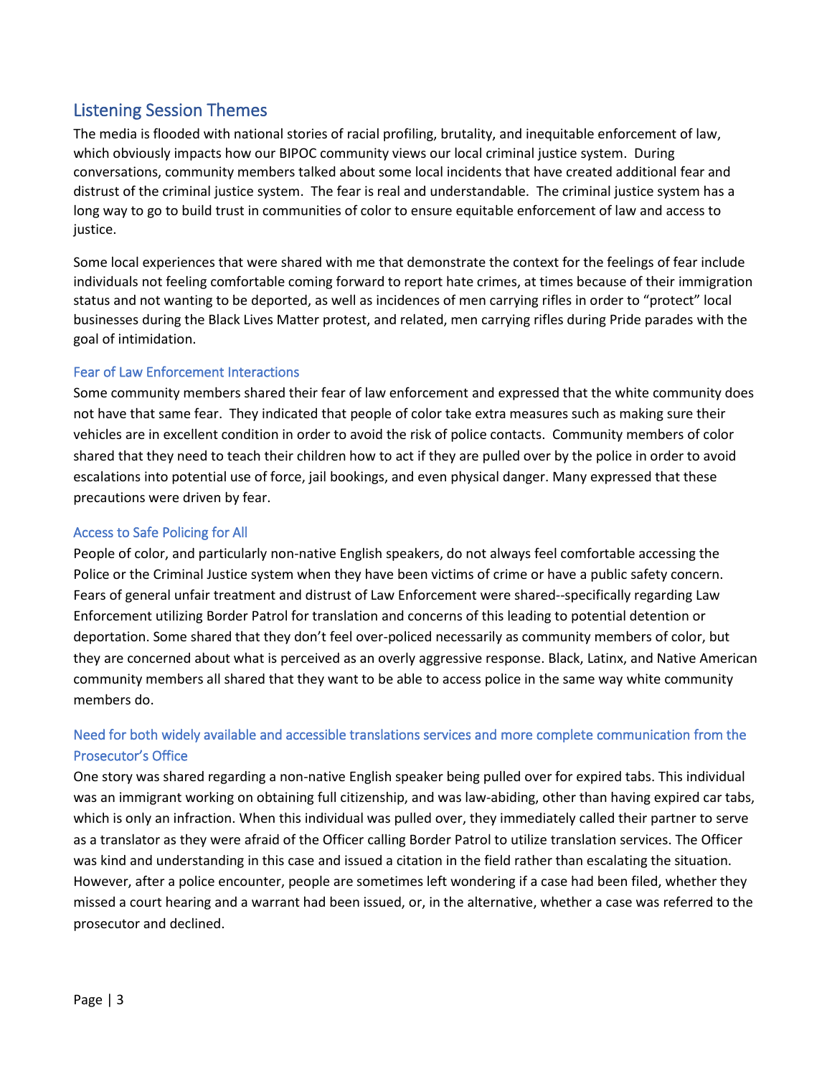# Listening Session Themes

The media is flooded with national stories of racial profiling, brutality, and inequitable enforcement of law, which obviously impacts how our BIPOC community views our local criminal justice system. During conversations, community members talked about some local incidents that have created additional fear and distrust of the criminal justice system. The fear is real and understandable. The criminal justice system has a long way to go to build trust in communities of color to ensure equitable enforcement of law and access to justice.

Some local experiences that were shared with me that demonstrate the context for the feelings of fear include individuals not feeling comfortable coming forward to report hate crimes, at times because of their immigration status and not wanting to be deported, as well as incidences of men carrying rifles in order to "protect" local businesses during the Black Lives Matter protest, and related, men carrying rifles during Pride parades with the goal of intimidation.

## Fear of Law Enforcement Interactions

Some community members shared their fear of law enforcement and expressed that the white community does not have that same fear. They indicated that people of color take extra measures such as making sure their vehicles are in excellent condition in order to avoid the risk of police contacts. Community members of color shared that they need to teach their children how to act if they are pulled over by the police in order to avoid escalations into potential use of force, jail bookings, and even physical danger. Many expressed that these precautions were driven by fear.

## Access to Safe Policing for All

People of color, and particularly non-native English speakers, do not always feel comfortable accessing the Police or the Criminal Justice system when they have been victims of crime or have a public safety concern. Fears of general unfair treatment and distrust of Law Enforcement were shared--specifically regarding Law Enforcement utilizing Border Patrol for translation and concerns of this leading to potential detention or deportation. Some shared that they don't feel over-policed necessarily as community members of color, but they are concerned about what is perceived as an overly aggressive response. Black, Latinx, and Native American community members all shared that they want to be able to access police in the same way white community members do.

# Need for both widely available and accessible translations services and more complete communication from the Prosecutor's Office

One story was shared regarding a non-native English speaker being pulled over for expired tabs. This individual was an immigrant working on obtaining full citizenship, and was law-abiding, other than having expired car tabs, which is only an infraction. When this individual was pulled over, they immediately called their partner to serve as a translator as they were afraid of the Officer calling Border Patrol to utilize translation services. The Officer was kind and understanding in this case and issued a citation in the field rather than escalating the situation. However, after a police encounter, people are sometimes left wondering if a case had been filed, whether they missed a court hearing and a warrant had been issued, or, in the alternative, whether a case was referred to the prosecutor and declined.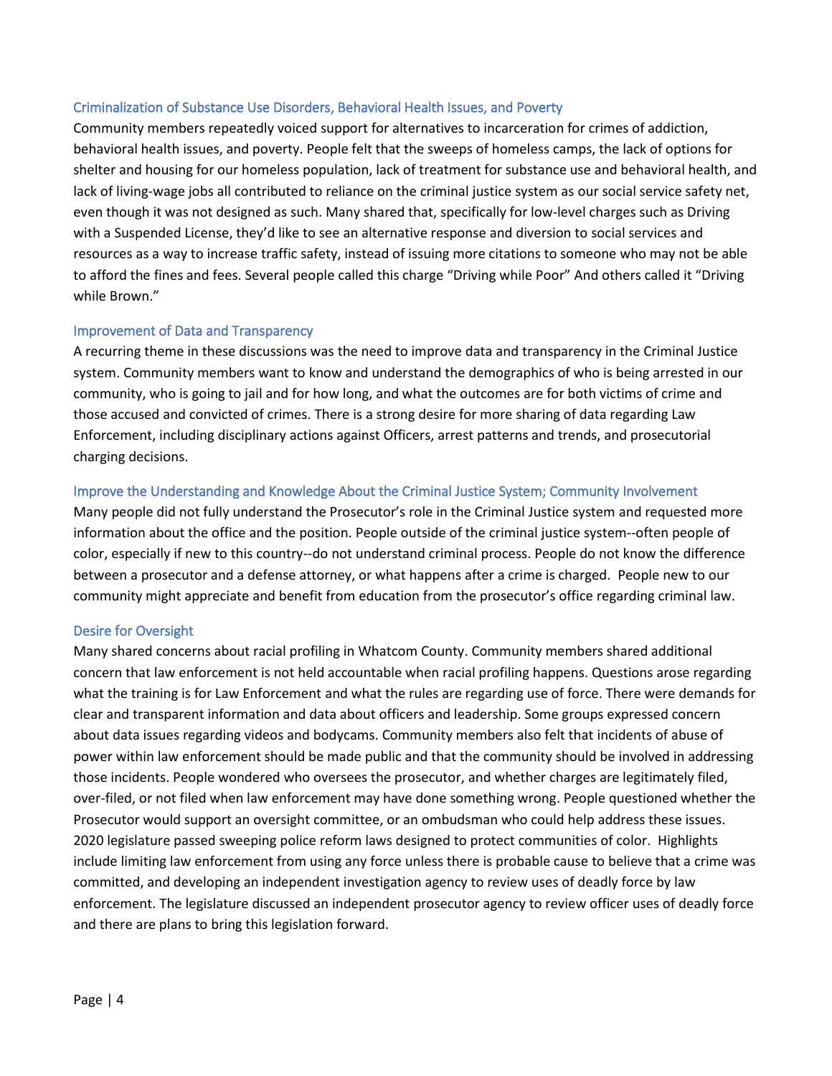## Criminalization of Substance Use Disorders, Behavioral Health Issues, and Poverty

Community members repeatedly voiced support for alternatives to incarceration for crimes of addiction, behavioral health issues, and poverty. People felt that the sweeps of homeless camps, the lack of options for shelter and housing for our homeless population, lack of treatment for substance use and behavioral health, and lack of living-wage jobs all contributed to reliance on the criminal justice system as our social service safety net, even though it was not designed as such. Many shared that, specifically for low-level charges such as Driving with a Suspended License, they'd like to see an alternative response and diversion to social services and resources as a way to increase traffic safety, instead of issuing more citations to someone who may not be able to afford the fines and fees. Several people called this charge "Driving while Poor" And others called it "Driving while Brown."

### Improvement of Data and Transparency

A recurring theme in these discussions was the need to improve data and transparency in the Criminal Justice system. Community members want to know and understand the demographics of who is being arrested in our community, who is going to jail and for how long, and what the outcomes are for both victims of crime and those accused and convicted of crimes. There is a strong desire for more sharing of data regarding Law Enforcement, including disciplinary actions against Officers, arrest patterns and trends, and prosecutorial charging decisions.

### Improve the Understanding and Knowledge About the Criminal Justice System; Community Involvement

Many people did not fully understand the Prosecutor's role in the Criminal Justice system and requested more information about the office and the position. People outside of the criminal justice system--often people of color, especially if new to this country--do not understand criminal process. People do not know the difference between a prosecutor and a defense attorney, or what happens after a crime is charged. People new to our community might appreciate and benefit from education from the prosecutor's office regarding criminal law.

### Desire for Oversight

Many shared concerns about racial profiling in Whatcom County. Community members shared additional concern that law enforcement is not held accountable when racial profiling happens. Questions arose regarding what the training is for Law Enforcement and what the rules are regarding use of force. There were demands for clear and transparent information and data about officers and leadership. Some groups expressed concern about data issues regarding videos and bodycams. Community members also felt that incidents of abuse of power within law enforcement should be made public and that the community should be involved in addressing those incidents. People wondered who oversees the prosecutor, and whether charges are legitimately filed, over-filed, or not filed when law enforcement may have done something wrong. People questioned whether the Prosecutor would support an oversight committee, or an ombudsman who could help address these issues. 2020 legislature passed sweeping police reform laws designed to protect communities of color. Highlights include limiting law enforcement from using any force unless there is probable cause to believe that a crime was committed, and developing an independent investigation agency to review uses of deadly force by law enforcement. The legislature discussed an independent prosecutor agency to review officer uses of deadly force and there are plans to bring this legislation forward.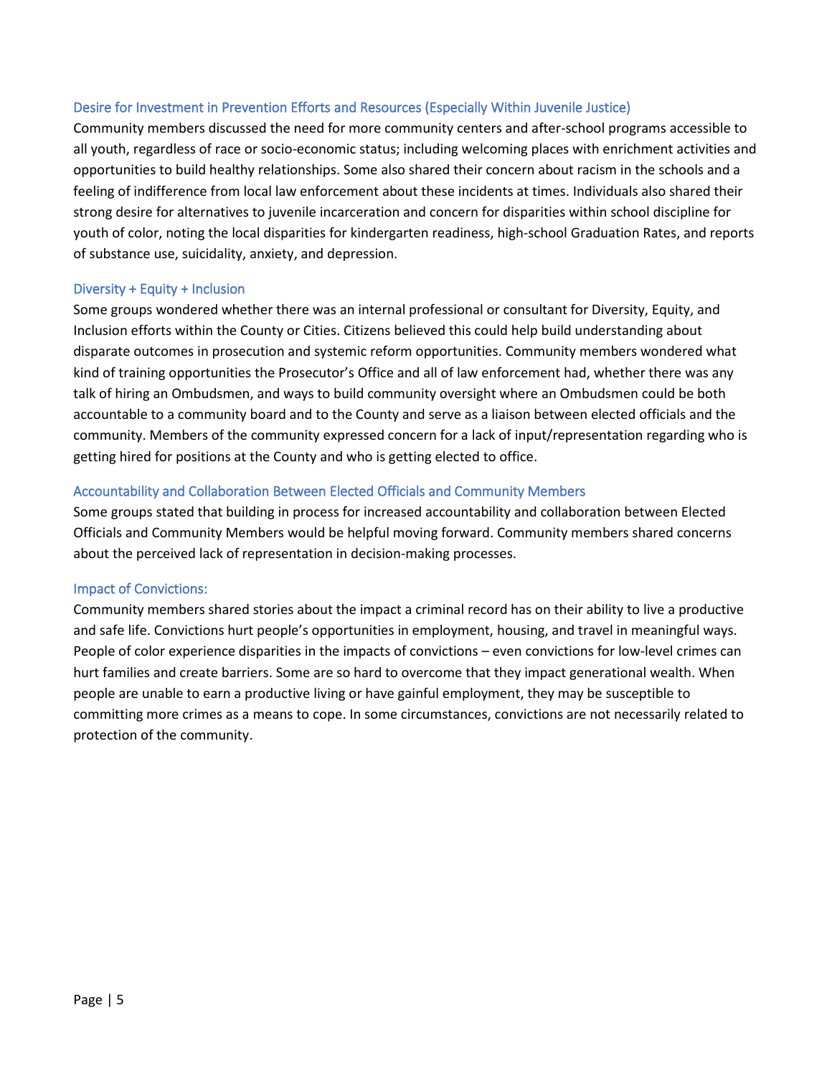## Desire for Investment in Prevention Efforts and Resources (Especially Within Juvenile Justice)

Community members discussed the need for more community centers and after-school programs accessible to all youth, regardless of race or socio-economic status; including welcoming places with enrichment activities and opportunities to build healthy relationships. Some also shared their concern about racism in the schools and a feeling of indifference from local law enforcement about these incidents at times. Individuals also shared their strong desire for alternatives to juvenile incarceration and concern for disparities within school discipline for youth of color, noting the local disparities for kindergarten readiness, high-school Graduation Rates, and reports of substance use, suicidality, anxiety, and depression.

## Diversity + Equity + Inclusion

Some groups wondered whether there was an internal professional or consultant for Diversity, Equity, and Inclusion efforts within the County or Cities. Citizens believed this could help build understanding about disparate outcomes in prosecution and systemic reform opportunities. Community members wondered what kind of training opportunities the Prosecutor's Office and all of law enforcement had, whether there was any talk of hiring an Ombudsmen, and ways to build community oversight where an Ombudsmen could be both accountable to a community board and to the County and serve as a liaison between elected officials and the community. Members of the community expressed concern for a lack of input/representation regarding who is getting hired for positions at the County and who is getting elected to office.

## Accountability and Collaboration Between Elected Officials and Community Members

Some groups stated that building in process for increased accountability and collaboration between Elected Officials and Community Members would be helpful moving forward. Community members shared concerns about the perceived lack of representation in decision-making processes.

## Impact of Convictions:

Community members shared stories about the impact a criminal record has on their ability to live a productive and safe life. Convictions hurt people's opportunities in employment, housing, and travel in meaningful ways. People of color experience disparities in the impacts of convictions – even convictions for low-level crimes can hurt families and create barriers. Some are so hard to overcome that they impact generational wealth. When people are unable to earn a productive living or have gainful employment, they may be susceptible to committing more crimes as a means to cope. In some circumstances, convictions are not necessarily related to protection of the community.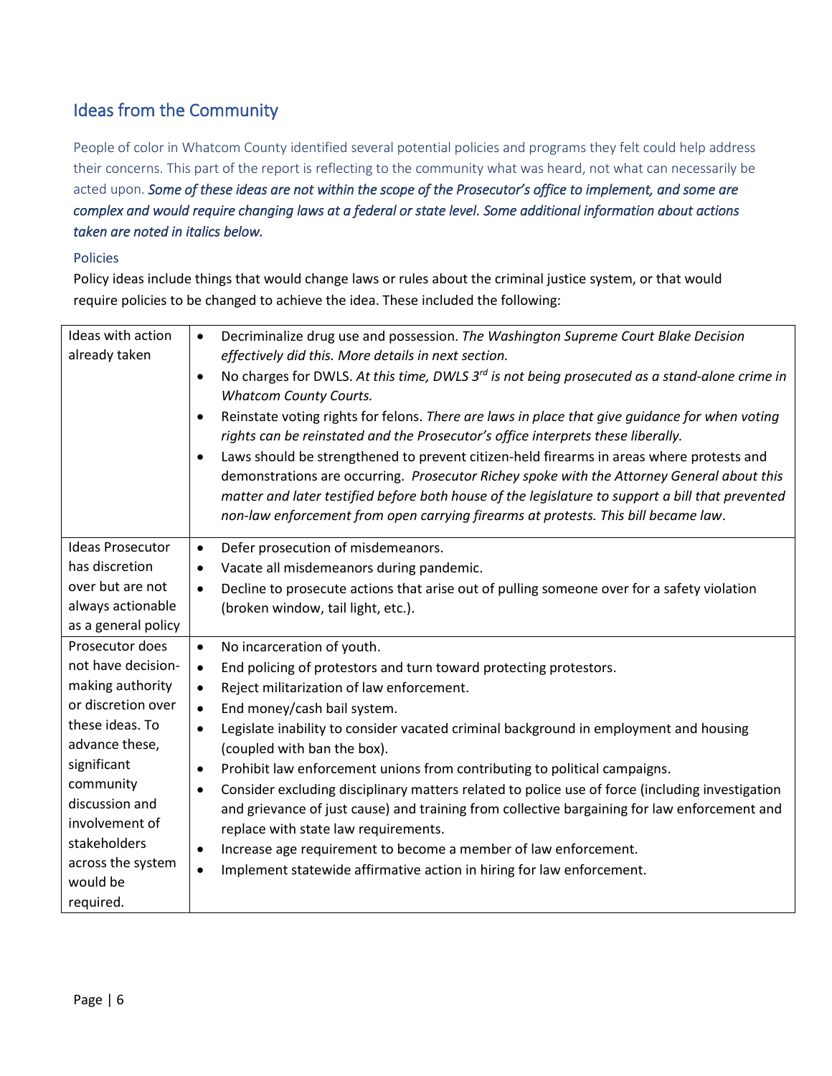# Ideas from the Community

People of color in Whatcom County identified several potential policies and programs they felt could help address their concerns. This part of the report is reflecting to the community what was heard, not what can necessarily be acted upon. *Some of these ideas are not within the scope of the Prosecutor's office to implement, and some are complex and would require changing laws at a federal or state level. Some additional information about actions taken are noted in italics below.* 

## Policies

Policy ideas include things that would change laws or rules about the criminal justice system, or that would require policies to be changed to achieve the idea. These included the following:

| Ideas with action<br>already taken | Decriminalize drug use and possession. The Washington Supreme Court Blake Decision<br>$\bullet$<br>effectively did this. More details in next section.<br>No charges for DWLS. At this time, DWLS $3^{rd}$ is not being prosecuted as a stand-alone crime in<br>$\bullet$<br><b>Whatcom County Courts.</b><br>Reinstate voting rights for felons. There are laws in place that give guidance for when voting<br>$\bullet$<br>rights can be reinstated and the Prosecutor's office interprets these liberally.<br>Laws should be strengthened to prevent citizen-held firearms in areas where protests and<br>$\bullet$<br>demonstrations are occurring. Prosecutor Richey spoke with the Attorney General about this<br>matter and later testified before both house of the legislature to support a bill that prevented<br>non-law enforcement from open carrying firearms at protests. This bill became law. |
|------------------------------------|----------------------------------------------------------------------------------------------------------------------------------------------------------------------------------------------------------------------------------------------------------------------------------------------------------------------------------------------------------------------------------------------------------------------------------------------------------------------------------------------------------------------------------------------------------------------------------------------------------------------------------------------------------------------------------------------------------------------------------------------------------------------------------------------------------------------------------------------------------------------------------------------------------------|
| <b>Ideas Prosecutor</b>            | Defer prosecution of misdemeanors.<br>$\bullet$                                                                                                                                                                                                                                                                                                                                                                                                                                                                                                                                                                                                                                                                                                                                                                                                                                                                |
| has discretion                     | Vacate all misdemeanors during pandemic.<br>$\bullet$                                                                                                                                                                                                                                                                                                                                                                                                                                                                                                                                                                                                                                                                                                                                                                                                                                                          |
| over but are not                   | Decline to prosecute actions that arise out of pulling someone over for a safety violation<br>$\bullet$                                                                                                                                                                                                                                                                                                                                                                                                                                                                                                                                                                                                                                                                                                                                                                                                        |
| always actionable                  | (broken window, tail light, etc.).                                                                                                                                                                                                                                                                                                                                                                                                                                                                                                                                                                                                                                                                                                                                                                                                                                                                             |
| as a general policy                |                                                                                                                                                                                                                                                                                                                                                                                                                                                                                                                                                                                                                                                                                                                                                                                                                                                                                                                |
| Prosecutor does                    | No incarceration of youth.<br>$\bullet$                                                                                                                                                                                                                                                                                                                                                                                                                                                                                                                                                                                                                                                                                                                                                                                                                                                                        |
| not have decision-                 | End policing of protestors and turn toward protecting protestors.<br>$\bullet$                                                                                                                                                                                                                                                                                                                                                                                                                                                                                                                                                                                                                                                                                                                                                                                                                                 |
| making authority                   | Reject militarization of law enforcement.<br>$\bullet$                                                                                                                                                                                                                                                                                                                                                                                                                                                                                                                                                                                                                                                                                                                                                                                                                                                         |
| or discretion over                 | End money/cash bail system.<br>$\bullet$                                                                                                                                                                                                                                                                                                                                                                                                                                                                                                                                                                                                                                                                                                                                                                                                                                                                       |
| these ideas. To                    | Legislate inability to consider vacated criminal background in employment and housing<br>$\bullet$                                                                                                                                                                                                                                                                                                                                                                                                                                                                                                                                                                                                                                                                                                                                                                                                             |
| advance these,                     | (coupled with ban the box).                                                                                                                                                                                                                                                                                                                                                                                                                                                                                                                                                                                                                                                                                                                                                                                                                                                                                    |
| significant                        | Prohibit law enforcement unions from contributing to political campaigns.<br>$\bullet$                                                                                                                                                                                                                                                                                                                                                                                                                                                                                                                                                                                                                                                                                                                                                                                                                         |
| community                          | Consider excluding disciplinary matters related to police use of force (including investigation<br>$\bullet$                                                                                                                                                                                                                                                                                                                                                                                                                                                                                                                                                                                                                                                                                                                                                                                                   |
| discussion and                     | and grievance of just cause) and training from collective bargaining for law enforcement and                                                                                                                                                                                                                                                                                                                                                                                                                                                                                                                                                                                                                                                                                                                                                                                                                   |
| involvement of                     | replace with state law requirements.                                                                                                                                                                                                                                                                                                                                                                                                                                                                                                                                                                                                                                                                                                                                                                                                                                                                           |
| stakeholders                       | Increase age requirement to become a member of law enforcement.<br>$\bullet$                                                                                                                                                                                                                                                                                                                                                                                                                                                                                                                                                                                                                                                                                                                                                                                                                                   |
| across the system                  | Implement statewide affirmative action in hiring for law enforcement.<br>$\bullet$                                                                                                                                                                                                                                                                                                                                                                                                                                                                                                                                                                                                                                                                                                                                                                                                                             |
| would be                           |                                                                                                                                                                                                                                                                                                                                                                                                                                                                                                                                                                                                                                                                                                                                                                                                                                                                                                                |
| required.                          |                                                                                                                                                                                                                                                                                                                                                                                                                                                                                                                                                                                                                                                                                                                                                                                                                                                                                                                |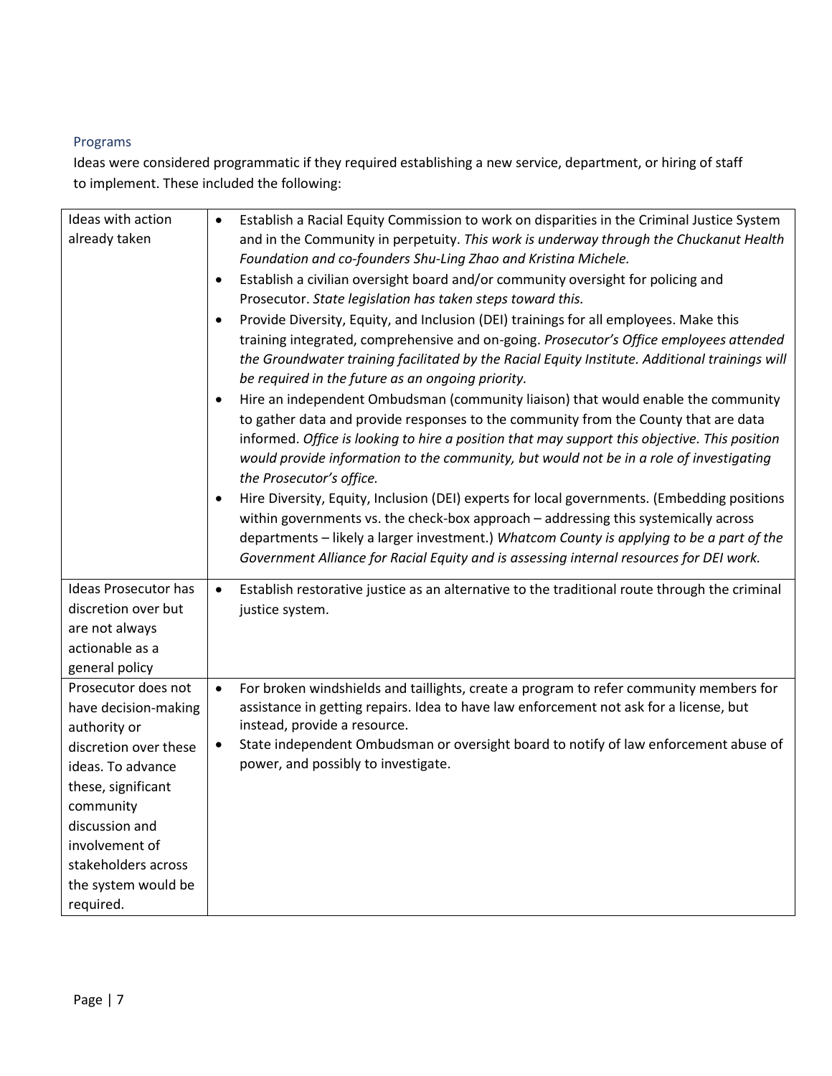# Programs

Ideas were considered programmatic if they required establishing a new service, department, or hiring of staff to implement. These included the following:

| Ideas with action           | Establish a Racial Equity Commission to work on disparities in the Criminal Justice System<br>$\bullet$                                                                                                                                                                                                                                                                                               |
|-----------------------------|-------------------------------------------------------------------------------------------------------------------------------------------------------------------------------------------------------------------------------------------------------------------------------------------------------------------------------------------------------------------------------------------------------|
| already taken               | and in the Community in perpetuity. This work is underway through the Chuckanut Health                                                                                                                                                                                                                                                                                                                |
|                             | Foundation and co-founders Shu-Ling Zhao and Kristina Michele.                                                                                                                                                                                                                                                                                                                                        |
|                             | Establish a civilian oversight board and/or community oversight for policing and<br>$\bullet$                                                                                                                                                                                                                                                                                                         |
|                             | Prosecutor. State legislation has taken steps toward this.                                                                                                                                                                                                                                                                                                                                            |
|                             | Provide Diversity, Equity, and Inclusion (DEI) trainings for all employees. Make this<br>$\bullet$                                                                                                                                                                                                                                                                                                    |
|                             | training integrated, comprehensive and on-going. Prosecutor's Office employees attended<br>the Groundwater training facilitated by the Racial Equity Institute. Additional trainings will<br>be required in the future as an ongoing priority.                                                                                                                                                        |
|                             |                                                                                                                                                                                                                                                                                                                                                                                                       |
|                             | Hire an independent Ombudsman (community liaison) that would enable the community<br>٠<br>to gather data and provide responses to the community from the County that are data<br>informed. Office is looking to hire a position that may support this objective. This position<br>would provide information to the community, but would not be in a role of investigating<br>the Prosecutor's office. |
|                             | Hire Diversity, Equity, Inclusion (DEI) experts for local governments. (Embedding positions<br>$\bullet$                                                                                                                                                                                                                                                                                              |
|                             | within governments vs. the check-box approach - addressing this systemically across                                                                                                                                                                                                                                                                                                                   |
|                             | departments - likely a larger investment.) Whatcom County is applying to be a part of the                                                                                                                                                                                                                                                                                                             |
|                             | Government Alliance for Racial Equity and is assessing internal resources for DEI work.                                                                                                                                                                                                                                                                                                               |
| <b>Ideas Prosecutor has</b> | Establish restorative justice as an alternative to the traditional route through the criminal<br>$\bullet$                                                                                                                                                                                                                                                                                            |
| discretion over but         | justice system.                                                                                                                                                                                                                                                                                                                                                                                       |
| are not always              |                                                                                                                                                                                                                                                                                                                                                                                                       |
| actionable as a             |                                                                                                                                                                                                                                                                                                                                                                                                       |
| general policy              |                                                                                                                                                                                                                                                                                                                                                                                                       |
| Prosecutor does not         | For broken windshields and taillights, create a program to refer community members for<br>$\bullet$                                                                                                                                                                                                                                                                                                   |
| have decision-making        | assistance in getting repairs. Idea to have law enforcement not ask for a license, but                                                                                                                                                                                                                                                                                                                |
| authority or                | instead, provide a resource.                                                                                                                                                                                                                                                                                                                                                                          |
| discretion over these       | State independent Ombudsman or oversight board to notify of law enforcement abuse of<br>$\bullet$                                                                                                                                                                                                                                                                                                     |
| ideas. To advance           | power, and possibly to investigate.                                                                                                                                                                                                                                                                                                                                                                   |
| these, significant          |                                                                                                                                                                                                                                                                                                                                                                                                       |
| community                   |                                                                                                                                                                                                                                                                                                                                                                                                       |
| discussion and              |                                                                                                                                                                                                                                                                                                                                                                                                       |
| involvement of              |                                                                                                                                                                                                                                                                                                                                                                                                       |
| stakeholders across         |                                                                                                                                                                                                                                                                                                                                                                                                       |
| the system would be         |                                                                                                                                                                                                                                                                                                                                                                                                       |
| required.                   |                                                                                                                                                                                                                                                                                                                                                                                                       |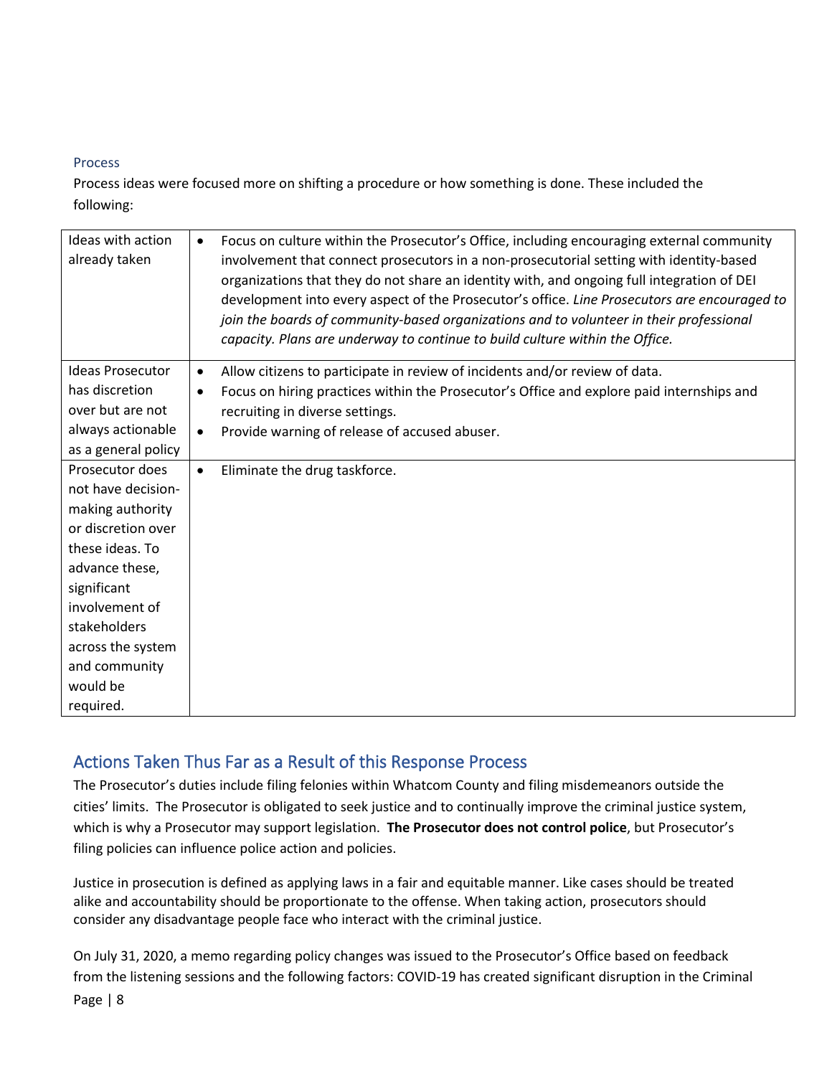## Process

Process ideas were focused more on shifting a procedure or how something is done. These included the following:

| Ideas with action<br>Focus on culture within the Prosecutor's Office, including encouraging external community<br>$\bullet$<br>already taken<br>involvement that connect prosecutors in a non-prosecutorial setting with identity-based<br>organizations that they do not share an identity with, and ongoing full integration of DEI<br>development into every aspect of the Prosecutor's office. Line Prosecutors are encouraged to<br>join the boards of community-based organizations and to volunteer in their professional<br>capacity. Plans are underway to continue to build culture within the Office.<br><b>Ideas Prosecutor</b><br>Allow citizens to participate in review of incidents and/or review of data.<br>$\bullet$<br>has discretion<br>Focus on hiring practices within the Prosecutor's Office and explore paid internships and<br>٠<br>over but are not<br>recruiting in diverse settings.<br>always actionable<br>Provide warning of release of accused abuser.<br>$\bullet$<br>as a general policy<br>Prosecutor does<br>Eliminate the drug taskforce.<br>$\bullet$<br>not have decision-<br>making authority<br>or discretion over<br>these ideas. To<br>advance these,<br>significant<br>involvement of<br>stakeholders<br>across the system<br>and community<br>would be<br>required. |  |
|--------------------------------------------------------------------------------------------------------------------------------------------------------------------------------------------------------------------------------------------------------------------------------------------------------------------------------------------------------------------------------------------------------------------------------------------------------------------------------------------------------------------------------------------------------------------------------------------------------------------------------------------------------------------------------------------------------------------------------------------------------------------------------------------------------------------------------------------------------------------------------------------------------------------------------------------------------------------------------------------------------------------------------------------------------------------------------------------------------------------------------------------------------------------------------------------------------------------------------------------------------------------------------------------------------------------|--|
|                                                                                                                                                                                                                                                                                                                                                                                                                                                                                                                                                                                                                                                                                                                                                                                                                                                                                                                                                                                                                                                                                                                                                                                                                                                                                                                    |  |
|                                                                                                                                                                                                                                                                                                                                                                                                                                                                                                                                                                                                                                                                                                                                                                                                                                                                                                                                                                                                                                                                                                                                                                                                                                                                                                                    |  |
|                                                                                                                                                                                                                                                                                                                                                                                                                                                                                                                                                                                                                                                                                                                                                                                                                                                                                                                                                                                                                                                                                                                                                                                                                                                                                                                    |  |
|                                                                                                                                                                                                                                                                                                                                                                                                                                                                                                                                                                                                                                                                                                                                                                                                                                                                                                                                                                                                                                                                                                                                                                                                                                                                                                                    |  |
|                                                                                                                                                                                                                                                                                                                                                                                                                                                                                                                                                                                                                                                                                                                                                                                                                                                                                                                                                                                                                                                                                                                                                                                                                                                                                                                    |  |
|                                                                                                                                                                                                                                                                                                                                                                                                                                                                                                                                                                                                                                                                                                                                                                                                                                                                                                                                                                                                                                                                                                                                                                                                                                                                                                                    |  |
|                                                                                                                                                                                                                                                                                                                                                                                                                                                                                                                                                                                                                                                                                                                                                                                                                                                                                                                                                                                                                                                                                                                                                                                                                                                                                                                    |  |
|                                                                                                                                                                                                                                                                                                                                                                                                                                                                                                                                                                                                                                                                                                                                                                                                                                                                                                                                                                                                                                                                                                                                                                                                                                                                                                                    |  |
|                                                                                                                                                                                                                                                                                                                                                                                                                                                                                                                                                                                                                                                                                                                                                                                                                                                                                                                                                                                                                                                                                                                                                                                                                                                                                                                    |  |
|                                                                                                                                                                                                                                                                                                                                                                                                                                                                                                                                                                                                                                                                                                                                                                                                                                                                                                                                                                                                                                                                                                                                                                                                                                                                                                                    |  |
|                                                                                                                                                                                                                                                                                                                                                                                                                                                                                                                                                                                                                                                                                                                                                                                                                                                                                                                                                                                                                                                                                                                                                                                                                                                                                                                    |  |
|                                                                                                                                                                                                                                                                                                                                                                                                                                                                                                                                                                                                                                                                                                                                                                                                                                                                                                                                                                                                                                                                                                                                                                                                                                                                                                                    |  |
|                                                                                                                                                                                                                                                                                                                                                                                                                                                                                                                                                                                                                                                                                                                                                                                                                                                                                                                                                                                                                                                                                                                                                                                                                                                                                                                    |  |
|                                                                                                                                                                                                                                                                                                                                                                                                                                                                                                                                                                                                                                                                                                                                                                                                                                                                                                                                                                                                                                                                                                                                                                                                                                                                                                                    |  |
|                                                                                                                                                                                                                                                                                                                                                                                                                                                                                                                                                                                                                                                                                                                                                                                                                                                                                                                                                                                                                                                                                                                                                                                                                                                                                                                    |  |
|                                                                                                                                                                                                                                                                                                                                                                                                                                                                                                                                                                                                                                                                                                                                                                                                                                                                                                                                                                                                                                                                                                                                                                                                                                                                                                                    |  |
|                                                                                                                                                                                                                                                                                                                                                                                                                                                                                                                                                                                                                                                                                                                                                                                                                                                                                                                                                                                                                                                                                                                                                                                                                                                                                                                    |  |
|                                                                                                                                                                                                                                                                                                                                                                                                                                                                                                                                                                                                                                                                                                                                                                                                                                                                                                                                                                                                                                                                                                                                                                                                                                                                                                                    |  |
|                                                                                                                                                                                                                                                                                                                                                                                                                                                                                                                                                                                                                                                                                                                                                                                                                                                                                                                                                                                                                                                                                                                                                                                                                                                                                                                    |  |

# Actions Taken Thus Far as a Result of this Response Process

The Prosecutor's duties include filing felonies within Whatcom County and filing misdemeanors outside the cities' limits. The Prosecutor is obligated to seek justice and to continually improve the criminal justice system, which is why a Prosecutor may support legislation. **The Prosecutor does not control police**, but Prosecutor's filing policies can influence police action and policies.

Justice in prosecution is defined as applying laws in a fair and equitable manner. Like cases should be treated alike and accountability should be proportionate to the offense. When taking action, prosecutors should consider any disadvantage people face who interact with the criminal justice.

Page | 8 On July 31, 2020, a memo regarding policy changes was issued to the Prosecutor's Office based on feedback from the listening sessions and the following factors: COVID-19 has created significant disruption in the Criminal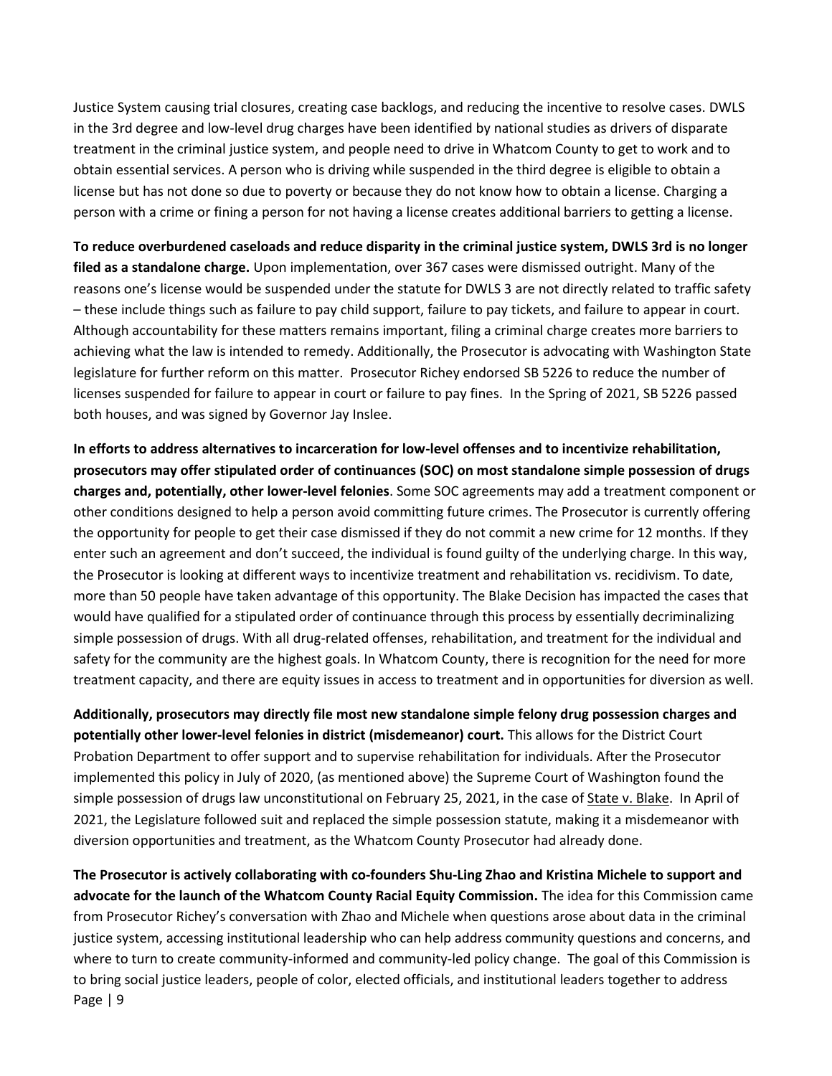Justice System causing trial closures, creating case backlogs, and reducing the incentive to resolve cases. DWLS in the 3rd degree and low-level drug charges have been identified by national studies as drivers of disparate treatment in the criminal justice system, and people need to drive in Whatcom County to get to work and to obtain essential services. A person who is driving while suspended in the third degree is eligible to obtain a license but has not done so due to poverty or because they do not know how to obtain a license. Charging a person with a crime or fining a person for not having a license creates additional barriers to getting a license.

**To reduce overburdened caseloads and reduce disparity in the criminal justice system, DWLS 3rd is no longer filed as a standalone charge.** Upon implementation, over 367 cases were dismissed outright. Many of the reasons one's license would be suspended under the statute for DWLS 3 are not directly related to traffic safety – these include things such as failure to pay child support, failure to pay tickets, and failure to appear in court. Although accountability for these matters remains important, filing a criminal charge creates more barriers to achieving what the law is intended to remedy. Additionally, the Prosecutor is advocating with Washington State legislature for further reform on this matter. Prosecutor Richey endorsed SB 5226 to reduce the number of licenses suspended for failure to appear in court or failure to pay fines. In the Spring of 2021, SB 5226 passed both houses, and was signed by Governor Jay Inslee.

**In efforts to address alternatives to incarceration for low-level offenses and to incentivize rehabilitation, prosecutors may offer stipulated order of continuances (SOC) on most standalone simple possession of drugs charges and, potentially, other lower-level felonies**. Some SOC agreements may add a treatment component or other conditions designed to help a person avoid committing future crimes. The Prosecutor is currently offering the opportunity for people to get their case dismissed if they do not commit a new crime for 12 months. If they enter such an agreement and don't succeed, the individual is found guilty of the underlying charge. In this way, the Prosecutor is looking at different ways to incentivize treatment and rehabilitation vs. recidivism. To date, more than 50 people have taken advantage of this opportunity. The Blake Decision has impacted the cases that would have qualified for a stipulated order of continuance through this process by essentially decriminalizing simple possession of drugs. With all drug-related offenses, rehabilitation, and treatment for the individual and safety for the community are the highest goals. In Whatcom County, there is recognition for the need for more treatment capacity, and there are equity issues in access to treatment and in opportunities for diversion as well.

**Additionally, prosecutors may directly file most new standalone simple felony drug possession charges and potentially other lower-level felonies in district (misdemeanor) court.** This allows for the District Court Probation Department to offer support and to supervise rehabilitation for individuals. After the Prosecutor implemented this policy in July of 2020, (as mentioned above) the Supreme Court of Washington found the simple possession of drugs law unconstitutional on February 25, 2021, in the case of State v. Blake. In April of 2021, the Legislature followed suit and replaced the simple possession statute, making it a misdemeanor with diversion opportunities and treatment, as the Whatcom County Prosecutor had already done.

Page | 9 **The Prosecutor is actively collaborating with co-founders Shu-Ling Zhao and Kristina Michele to support and advocate for the launch of the Whatcom County Racial Equity Commission.** The idea for this Commission came from Prosecutor Richey's conversation with Zhao and Michele when questions arose about data in the criminal justice system, accessing institutional leadership who can help address community questions and concerns, and where to turn to create community-informed and community-led policy change. The goal of this Commission is to bring social justice leaders, people of color, elected officials, and institutional leaders together to address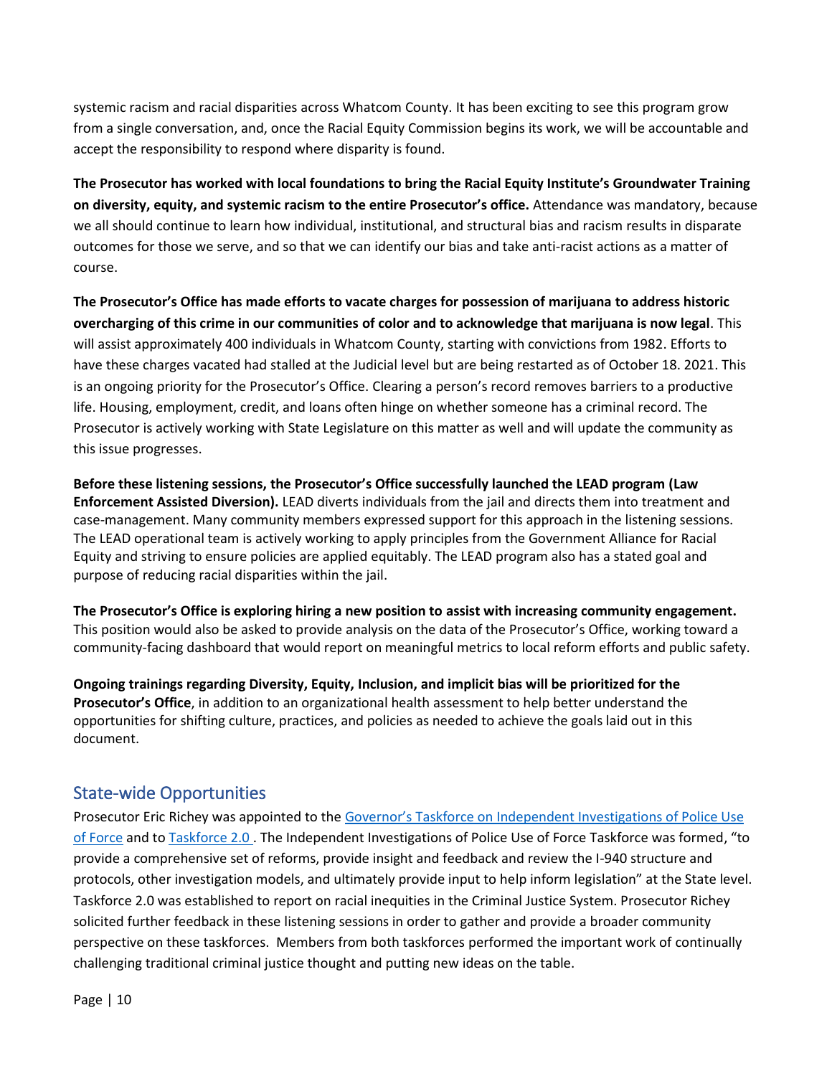systemic racism and racial disparities across Whatcom County. It has been exciting to see this program grow from a single conversation, and, once the Racial Equity Commission begins its work, we will be accountable and accept the responsibility to respond where disparity is found.

**The Prosecutor has worked with local foundations to bring the Racial Equity Institute's Groundwater Training on diversity, equity, and systemic racism to the entire Prosecutor's office.** Attendance was mandatory, because we all should continue to learn how individual, institutional, and structural bias and racism results in disparate outcomes for those we serve, and so that we can identify our bias and take anti-racist actions as a matter of course.

**The Prosecutor's Office has made efforts to vacate charges for possession of marijuana to address historic overcharging of this crime in our communities of color and to acknowledge that marijuana is now legal**. This will assist approximately 400 individuals in Whatcom County, starting with convictions from 1982. Efforts to have these charges vacated had stalled at the Judicial level but are being restarted as of October 18. 2021. This is an ongoing priority for the Prosecutor's Office. Clearing a person's record removes barriers to a productive life. Housing, employment, credit, and loans often hinge on whether someone has a criminal record. The Prosecutor is actively working with State Legislature on this matter as well and will update the community as this issue progresses.

**Before these listening sessions, the Prosecutor's Office successfully launched the LEAD program (Law Enforcement Assisted Diversion).** LEAD diverts individuals from the jail and directs them into treatment and case-management. Many community members expressed support for this approach in the listening sessions. The LEAD operational team is actively working to apply principles from the Government Alliance for Racial Equity and striving to ensure policies are applied equitably. The LEAD program also has a stated goal and purpose of reducing racial disparities within the jail.

**The Prosecutor's Office is exploring hiring a new position to assist with increasing community engagement.** This position would also be asked to provide analysis on the data of the Prosecutor's Office, working toward a community-facing dashboard that would report on meaningful metrics to local reform efforts and public safety.

**Ongoing trainings regarding Diversity, Equity, Inclusion, and implicit bias will be prioritized for the Prosecutor's Office**, in addition to an organizational health assessment to help better understand the opportunities for shifting culture, practices, and policies as needed to achieve the goals laid out in this document.

# State-wide Opportunities

Prosecutor Eric Richey was appointed to the [Governor's Taskforce on Independent Investigations of Police Use](https://www.governor.wa.gov/boards-commissions/workgroups-task-forces/governor%E2%80%99s-task-force-independent-investigations-police)  [of Force](https://www.governor.wa.gov/boards-commissions/workgroups-task-forces/governor%E2%80%99s-task-force-independent-investigations-police) and to [Taskforce 2.0 .](https://law.seattleu.edu/centers-and-institutes/korematsu-center/initiatives/task-force-20-x24772) The Independent Investigations of Police Use of Force Taskforce was formed, "to provide a comprehensive set of reforms, provide insight and feedback and review the I-940 structure and protocols, other investigation models, and ultimately provide input to help inform legislation" at the State level. Taskforce 2.0 was established to report on racial inequities in the Criminal Justice System. Prosecutor Richey solicited further feedback in these listening sessions in order to gather and provide a broader community perspective on these taskforces. Members from both taskforces performed the important work of continually challenging traditional criminal justice thought and putting new ideas on the table.